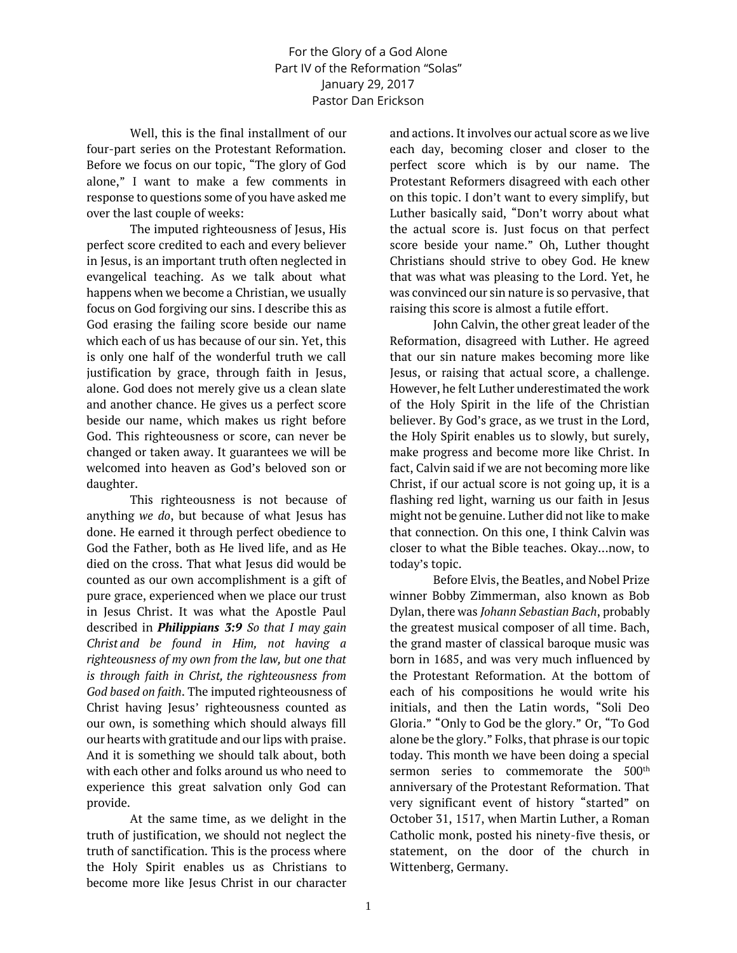## For the Glory of a God Alone Part IV of the Reformation "Solas" January 29, 2017 Pastor Dan Erickson

Well, this is the final installment of our four-part series on the Protestant Reformation. Before we focus on our topic, "The glory of God alone," I want to make a few comments in response to questions some of you have asked me over the last couple of weeks:

The imputed righteousness of Jesus, His perfect score credited to each and every believer in Jesus, is an important truth often neglected in evangelical teaching. As we talk about what happens when we become a Christian, we usually focus on God forgiving our sins. I describe this as God erasing the failing score beside our name which each of us has because of our sin. Yet, this is only one half of the wonderful truth we call justification by grace, through faith in Jesus, alone. God does not merely give us a clean slate and another chance. He gives us a perfect score beside our name, which makes us right before God. This righteousness or score, can never be changed or taken away. It guarantees we will be welcomed into heaven as God's beloved son or daughter.

This righteousness is not because of anything *we do*, but because of what Jesus has done. He earned it through perfect obedience to God the Father, both as He lived life, and as He died on the cross. That what Jesus did would be counted as our own accomplishment is a gift of pure grace, experienced when we place our trust in Jesus Christ. It was what the Apostle Paul described in *Philippians 3:9 So that I may gain Christ and be found in Him, not having a righteousness of my own from the law, but one that is through faith in Christ, the righteousness from God based on faith*. The imputed righteousness of Christ having Jesus' righteousness counted as our own, is something which should always fill our hearts with gratitude and our lips with praise. And it is something we should talk about, both with each other and folks around us who need to experience this great salvation only God can provide.

At the same time, as we delight in the truth of justification, we should not neglect the truth of sanctification. This is the process where the Holy Spirit enables us as Christians to become more like Jesus Christ in our character

and actions. It involves our actual score as we live each day, becoming closer and closer to the perfect score which is by our name. The Protestant Reformers disagreed with each other on this topic. I don't want to every simplify, but Luther basically said, "Don't worry about what the actual score is. Just focus on that perfect score beside your name." Oh, Luther thought Christians should strive to obey God. He knew that was what was pleasing to the Lord. Yet, he was convinced our sin nature is so pervasive, that raising this score is almost a futile effort.

John Calvin, the other great leader of the Reformation, disagreed with Luther. He agreed that our sin nature makes becoming more like Jesus, or raising that actual score, a challenge. However, he felt Luther underestimated the work of the Holy Spirit in the life of the Christian believer. By God's grace, as we trust in the Lord, the Holy Spirit enables us to slowly, but surely, make progress and become more like Christ. In fact, Calvin said if we are not becoming more like Christ, if our actual score is not going up, it is a flashing red light, warning us our faith in Jesus might not be genuine. Luther did not like to make that connection. On this one, I think Calvin was closer to what the Bible teaches. Okay…now, to today's topic.

Before Elvis, the Beatles, and Nobel Prize winner Bobby Zimmerman, also known as Bob Dylan, there was *Johann Sebastian Bach*, probably the greatest musical composer of all time. Bach, the grand master of classical baroque music was born in 1685, and was very much influenced by the Protestant Reformation. At the bottom of each of his compositions he would write his initials, and then the Latin words, "Soli Deo Gloria." "Only to God be the glory." Or, "To God alone be the glory." Folks, that phrase is our topic today. This month we have been doing a special sermon series to commemorate the 500<sup>th</sup> anniversary of the Protestant Reformation. That very significant event of history "started" on October 31, 1517, when Martin Luther, a Roman Catholic monk, posted his ninety-five thesis, or statement, on the door of the church in Wittenberg, Germany.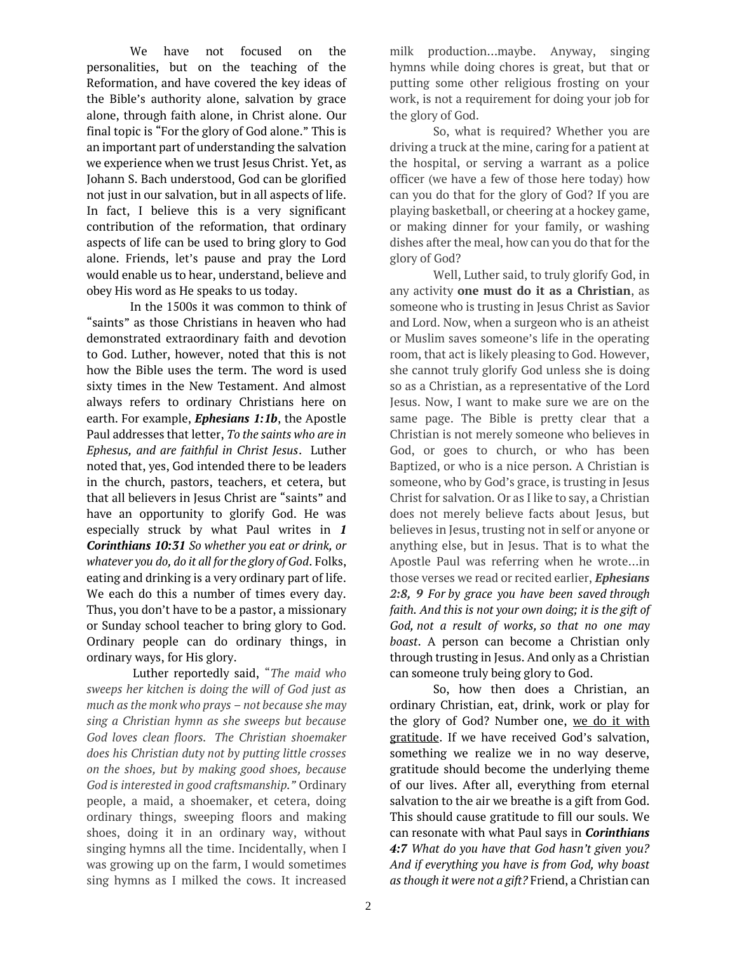We have not focused on the personalities, but on the teaching of the Reformation, and have covered the key ideas of the Bible's authority alone, salvation by grace alone, through faith alone, in Christ alone. Our final topic is "For the glory of God alone." This is an important part of understanding the salvation we experience when we trust Jesus Christ. Yet, as Johann S. Bach understood, God can be glorified not just in our salvation, but in all aspects of life. In fact, I believe this is a very significant contribution of the reformation, that ordinary aspects of life can be used to bring glory to God alone. Friends, let's pause and pray the Lord would enable us to hear, understand, believe and obey His word as He speaks to us today.

In the 1500s it was common to think of "saints" as those Christians in heaven who had demonstrated extraordinary faith and devotion to God. Luther, however, noted that this is not how the Bible uses the term. The word is used sixty times in the New Testament. And almost always refers to ordinary Christians here on earth. For example, *Ephesians 1:1b*, the Apostle Paul addresses that letter, *To the saints who are in Ephesus, and are faithful in Christ Jesus*. Luther noted that, yes, God intended there to be leaders in the church, pastors, teachers, et cetera, but that all believers in Jesus Christ are "saints" and have an opportunity to glorify God. He was especially struck by what Paul writes in *1 Corinthians 10:31 So whether you eat or drink, or whatever you do, do it all for the glory of God*. Folks, eating and drinking is a very ordinary part of life. We each do this a number of times every day. Thus, you don't have to be a pastor, a missionary or Sunday school teacher to bring glory to God. Ordinary people can do ordinary things, in ordinary ways, for His glory.

Luther reportedly said, "*The maid who sweeps her kitchen is doing the will of God just as much as the monk who prays – not because she may sing a Christian hymn as she sweeps but because God loves clean floors. The Christian shoemaker does his Christian duty not by putting little crosses on the shoes, but by making good shoes, because God is interested in good craftsmanship."* Ordinary people, a maid, a shoemaker, et cetera, doing ordinary things, sweeping floors and making shoes, doing it in an ordinary way, without singing hymns all the time. Incidentally, when I was growing up on the farm, I would sometimes sing hymns as I milked the cows. It increased milk production…maybe. Anyway, singing hymns while doing chores is great, but that or putting some other religious frosting on your work, is not a requirement for doing your job for the glory of God.

So, what is required? Whether you are driving a truck at the mine, caring for a patient at the hospital, or serving a warrant as a police officer (we have a few of those here today) how can you do that for the glory of God? If you are playing basketball, or cheering at a hockey game, or making dinner for your family, or washing dishes after the meal, how can you do that for the glory of God?

Well, Luther said, to truly glorify God, in any activity **one must do it as a Christian**, as someone who is trusting in Jesus Christ as Savior and Lord. Now, when a surgeon who is an atheist or Muslim saves someone's life in the operating room, that act is likely pleasing to God. However, she cannot truly glorify God unless she is doing so as a Christian, as a representative of the Lord Jesus. Now, I want to make sure we are on the same page. The Bible is pretty clear that a Christian is not merely someone who believes in God, or goes to church, or who has been Baptized, or who is a nice person. A Christian is someone, who by God's grace, is trusting in Jesus Christ for salvation. Or as I like to say, a Christian does not merely believe facts about Jesus, but believes in Jesus, trusting not in self or anyone or anything else, but in Jesus. That is to what the Apostle Paul was referring when he wrote…in those verses we read or recited earlier, *Ephesians 2:8, 9 For by grace you have been saved through faith. And this is not your own doing; it is the gift of God, not a result of works, so that no one may boast*. A person can become a Christian only through trusting in Jesus. And only as a Christian can someone truly being glory to God.

So, how then does a Christian, an ordinary Christian, eat, drink, work or play for the glory of God? Number one, we do it with gratitude. If we have received God's salvation, something we realize we in no way deserve, gratitude should become the underlying theme of our lives. After all, everything from eternal salvation to the air we breathe is a gift from God. This should cause gratitude to fill our souls. We can resonate with what Paul says in *Corinthians 4:7 What do you have that God hasn't given you? And if everything you have is from God, why boast as though it were not a gift?* Friend, a Christian can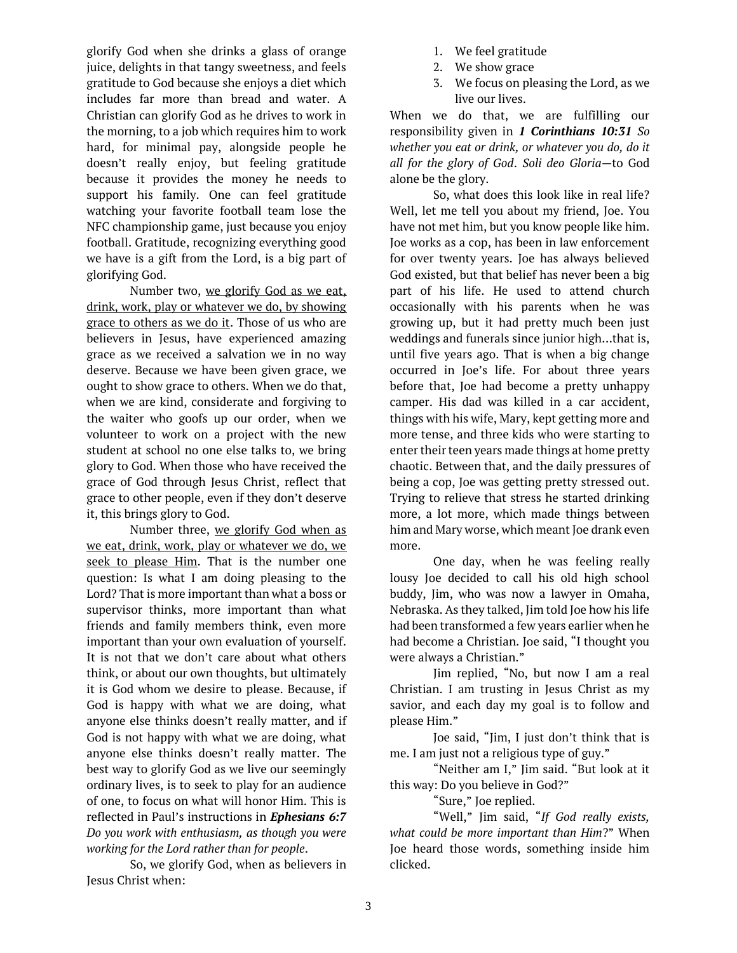glorify God when she drinks a glass of orange juice, delights in that tangy sweetness, and feels gratitude to God because she enjoys a diet which includes far more than bread and water. A Christian can glorify God as he drives to work in the morning, to a job which requires him to work hard, for minimal pay, alongside people he doesn't really enjoy, but feeling gratitude because it provides the money he needs to support his family. One can feel gratitude watching your favorite football team lose the NFC championship game, just because you enjoy football. Gratitude, recognizing everything good we have is a gift from the Lord, is a big part of glorifying God.

Number two, we glorify God as we eat, drink, work, play or whatever we do, by showing grace to others as we do it. Those of us who are believers in Jesus, have experienced amazing grace as we received a salvation we in no way deserve. Because we have been given grace, we ought to show grace to others. When we do that, when we are kind, considerate and forgiving to the waiter who goofs up our order, when we volunteer to work on a project with the new student at school no one else talks to, we bring glory to God. When those who have received the grace of God through Jesus Christ, reflect that grace to other people, even if they don't deserve it, this brings glory to God.

Number three, we glorify God when as we eat, drink, work, play or whatever we do, we seek to please Him. That is the number one question: Is what I am doing pleasing to the Lord? That is more important than what a boss or supervisor thinks, more important than what friends and family members think, even more important than your own evaluation of yourself. It is not that we don't care about what others think, or about our own thoughts, but ultimately it is God whom we desire to please. Because, if God is happy with what we are doing, what anyone else thinks doesn't really matter, and if God is not happy with what we are doing, what anyone else thinks doesn't really matter. The best way to glorify God as we live our seemingly ordinary lives, is to seek to play for an audience of one, to focus on what will honor Him. This is reflected in Paul's instructions in *Ephesians 6:7 Do you work with enthusiasm, as though you were working for the Lord rather than for people*.

So, we glorify God, when as believers in Jesus Christ when:

- 1. We feel gratitude
- 2. We show grace
- 3. We focus on pleasing the Lord, as we live our lives.

When we do that, we are fulfilling our responsibility given in *1 Corinthians 10:31 So whether you eat or drink, or whatever you do, do it all for the glory of God*. *Soli deo Gloria—*to God alone be the glory.

So, what does this look like in real life? Well, let me tell you about my friend, Joe. You have not met him, but you know people like him. Joe works as a cop, has been in law enforcement for over twenty years. Joe has always believed God existed, but that belief has never been a big part of his life. He used to attend church occasionally with his parents when he was growing up, but it had pretty much been just weddings and funerals since junior high…that is, until five years ago. That is when a big change occurred in Joe's life. For about three years before that, Joe had become a pretty unhappy camper. His dad was killed in a car accident, things with his wife, Mary, kept getting more and more tense, and three kids who were starting to enter their teen years made things at home pretty chaotic. Between that, and the daily pressures of being a cop, Joe was getting pretty stressed out. Trying to relieve that stress he started drinking more, a lot more, which made things between him and Mary worse, which meant Joe drank even more.

One day, when he was feeling really lousy Joe decided to call his old high school buddy, Jim, who was now a lawyer in Omaha, Nebraska. As they talked, Jim told Joe how his life had been transformed a few years earlier when he had become a Christian. Joe said, "I thought you were always a Christian."

Jim replied, "No, but now I am a real Christian. I am trusting in Jesus Christ as my savior, and each day my goal is to follow and please Him."

Joe said, "Jim, I just don't think that is me. I am just not a religious type of guy."

"Neither am I," Jim said. "But look at it this way: Do you believe in God?"

"Sure," Joe replied.

"Well," Jim said, "*If God really exists, what could be more important than Him*?" When Joe heard those words, something inside him clicked.